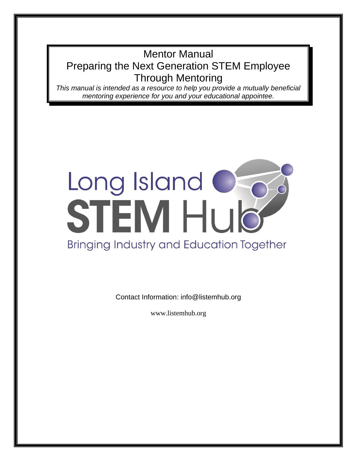# Mentor Manual Preparing the Next Generation STEM Employee Through Mentoring

*This manual is intended as a resource to help you provide a mutually beneficial mentoring experience for you and your educational appointee.*

# Long Island<br>STEM HUD **Bringing Industry and Education Together**

Contact Information: info@listemhub.org

www.listemhub.org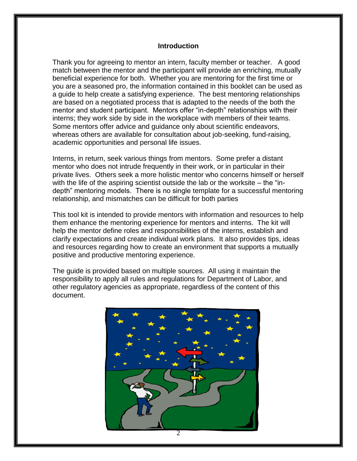#### **Introduction**

Thank you for agreeing to mentor an intern, faculty member or teacher. A good match between the mentor and the participant will provide an enriching, mutually beneficial experience for both. Whether you are mentoring for the first time or you are a seasoned pro, the information contained in this booklet can be used as a guide to help create a satisfying experience. The best mentoring relationships are based on a negotiated process that is adapted to the needs of the both the mentor and student participant. Mentors offer "in-depth" relationships with their interns; they work side by side in the workplace with members of their teams. Some mentors offer advice and guidance only about scientific endeavors, whereas others are available for consultation about job-seeking, fund-raising, academic opportunities and personal life issues.

Interns, in return, seek various things from mentors. Some prefer a distant mentor who does not intrude frequently in their work, or in particular in their private lives. Others seek a more holistic mentor who concerns himself or herself with the life of the aspiring scientist outside the lab or the worksite – the "indepth" mentoring models. There is no single template for a successful mentoring relationship, and mismatches can be difficult for both parties

This tool kit is intended to provide mentors with information and resources to help them enhance the mentoring experience for mentors and interns. The kit will help the mentor define roles and responsibilities of the interns, establish and clarify expectations and create individual work plans. It also provides tips, ideas and resources regarding how to create an environment that supports a mutually positive and productive mentoring experience.

The guide is provided based on multiple sources. All using it maintain the responsibility to apply all rules and regulations for Department of Labor, and other regulatory agencies as appropriate, regardless of the content of this document.

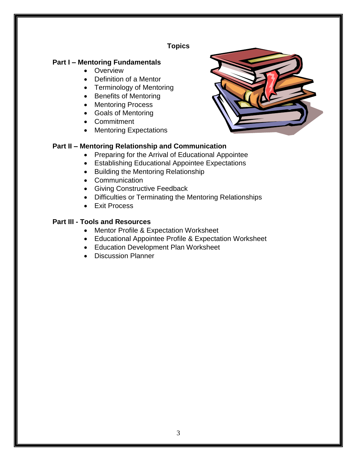## **Topics**

## **Part I – Mentoring Fundamentals**

- Overview
- Definition of a Mentor
- Terminology of Mentoring
- Benefits of Mentoring
- Mentoring Process
- Goals of Mentoring
- Commitment
- Mentoring Expectations

#### **Part II – Mentoring Relationship and Communication**

- Preparing for the Arrival of Educational Appointee
- Establishing Educational Appointee Expectations
- Building the Mentoring Relationship
- Communication
- Giving Constructive Feedback
- Difficulties or Terminating the Mentoring Relationships
- Exit Process

#### **Part III - Tools and Resources**

- Mentor Profile & Expectation Worksheet
- Educational Appointee Profile & Expectation Worksheet
- Education Development Plan Worksheet
- Discussion Planner

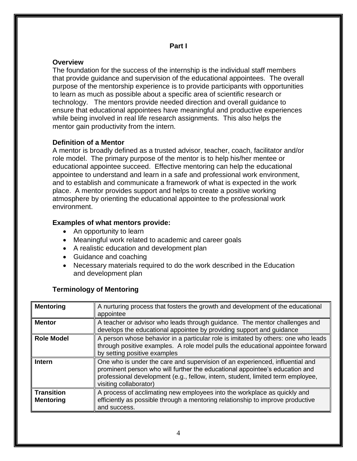#### **Overview**

The foundation for the success of the internship is the individual staff members that provide guidance and supervision of the educational appointees. The overall purpose of the mentorship experience is to provide participants with opportunities to learn as much as possible about a specific area of scientific research or technology. The mentors provide needed direction and overall guidance to ensure that educational appointees have meaningful and productive experiences while being involved in real life research assignments. This also helps the mentor gain productivity from the intern.

#### **Definition of a Mentor**

A mentor is broadly defined as a trusted advisor, teacher, coach, facilitator and/or role model. The primary purpose of the mentor is to help his/her mentee or educational appointee succeed. Effective mentoring can help the educational appointee to understand and learn in a safe and professional work environment, and to establish and communicate a framework of what is expected in the work place. A mentor provides support and helps to create a positive working atmosphere by orienting the educational appointee to the professional work environment.

#### **Examples of what mentors provide:**

- An opportunity to learn
- Meaningful work related to academic and career goals
- A realistic education and development plan
- Guidance and coaching
- Necessary materials required to do the work described in the Education and development plan

#### **Terminology of Mentoring**

| <b>Mentoring</b>                      | A nurturing process that fosters the growth and development of the educational<br>appointee                                                                                                                                                                              |
|---------------------------------------|--------------------------------------------------------------------------------------------------------------------------------------------------------------------------------------------------------------------------------------------------------------------------|
| <b>Mentor</b>                         | A teacher or advisor who leads through guidance. The mentor challenges and<br>develops the educational appointee by providing support and guidance                                                                                                                       |
| <b>Role Model</b>                     | A person whose behavior in a particular role is imitated by others: one who leads<br>through positive examples. A role model pulls the educational appointee forward<br>by setting positive examples                                                                     |
| <b>Intern</b>                         | One who is under the care and supervision of an experienced, influential and<br>prominent person who will further the educational appointee's education and<br>professional development (e.g., fellow, intern, student, limited term employee,<br>visiting collaborator) |
| <b>Transition</b><br><b>Mentoring</b> | A process of acclimating new employees into the workplace as quickly and<br>efficiently as possible through a mentoring relationship to improve productive<br>and success.                                                                                               |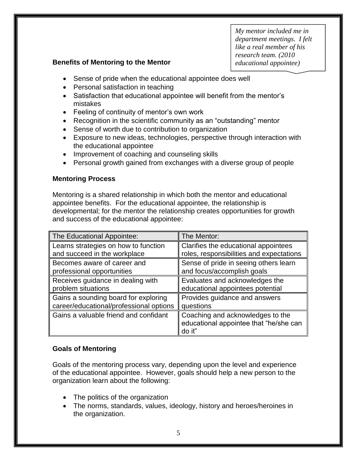*My mentor included me in department meetings. I felt like a real member of his research team. (2010 educational appointee)*

#### **Benefits of Mentoring to the Mentor**

- Sense of pride when the educational appointee does well
- Personal satisfaction in teaching
- Satisfaction that educational appointee will benefit from the mentor's mistakes
- Feeling of continuity of mentor's own work
- Recognition in the scientific community as an "outstanding" mentor
- Sense of worth due to contribution to organization
- Exposure to new ideas, technologies, perspective through interaction with the educational appointee
- Improvement of coaching and counseling skills
- Personal growth gained from exchanges with a diverse group of people

#### **Mentoring Process**

Mentoring is a shared relationship in which both the mentor and educational appointee benefits. For the educational appointee, the relationship is developmental; for the mentor the relationship creates opportunities for growth and success of the educational appointee:

| The Educational Appointee:              | The Mentor:                                                                          |
|-----------------------------------------|--------------------------------------------------------------------------------------|
| Learns strategies on how to function    | Clarifies the educational appointees                                                 |
| and succeed in the workplace            | roles, responsibilities and expectations                                             |
| Becomes aware of career and             | Sense of pride in seeing others learn                                                |
| professional opportunities              | and focus/accomplish goals                                                           |
| Receives guidance in dealing with       | Evaluates and acknowledges the                                                       |
| problem situations                      | educational appointees potential                                                     |
| Gains a sounding board for exploring    | Provides guidance and answers                                                        |
| career/educational/professional options | questions                                                                            |
| Gains a valuable friend and confidant   | Coaching and acknowledges to the<br>educational appointee that "he/she can<br>do it" |

#### **Goals of Mentoring**

Goals of the mentoring process vary, depending upon the level and experience of the educational appointee. However, goals should help a new person to the organization learn about the following:

- The politics of the organization
- The norms, standards, values, ideology, history and heroes/heroines in the organization.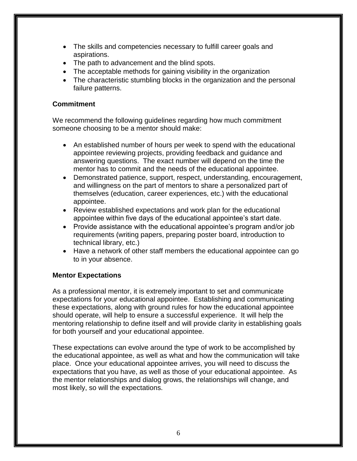- The skills and competencies necessary to fulfill career goals and aspirations.
- The path to advancement and the blind spots.
- The acceptable methods for gaining visibility in the organization
- The characteristic stumbling blocks in the organization and the personal failure patterns.

#### **Commitment**

We recommend the following guidelines regarding how much commitment someone choosing to be a mentor should make:

- An established number of hours per week to spend with the educational appointee reviewing projects, providing feedback and guidance and answering questions. The exact number will depend on the time the mentor has to commit and the needs of the educational appointee.
- Demonstrated patience, support, respect, understanding, encouragement, and willingness on the part of mentors to share a personalized part of themselves (education, career experiences, etc.) with the educational appointee.
- Review established expectations and work plan for the educational appointee within five days of the educational appointee's start date.
- Provide assistance with the educational appointee's program and/or job requirements (writing papers, preparing poster board, introduction to technical library, etc.)
- Have a network of other staff members the educational appointee can go to in your absence.

#### **Mentor Expectations**

As a professional mentor, it is extremely important to set and communicate expectations for your educational appointee. Establishing and communicating these expectations, along with ground rules for how the educational appointee should operate, will help to ensure a successful experience. It will help the mentoring relationship to define itself and will provide clarity in establishing goals for both yourself and your educational appointee.

These expectations can evolve around the type of work to be accomplished by the educational appointee, as well as what and how the communication will take place. Once your educational appointee arrives, you will need to discuss the expectations that you have, as well as those of your educational appointee. As the mentor relationships and dialog grows, the relationships will change, and most likely, so will the expectations.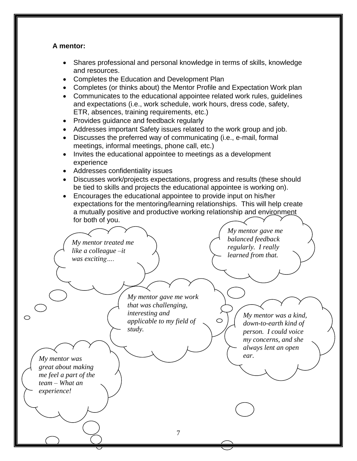#### **A mentor:**

- Shares professional and personal knowledge in terms of skills, knowledge and resources.
- Completes the Education and Development Plan
- Completes (or thinks about) the Mentor Profile and Expectation Work plan
- Communicates to the educational appointee related work rules, guidelines and expectations (i.e., work schedule, work hours, dress code, safety, ETR, absences, training requirements, etc.)
- Provides guidance and feedback regularly
- Addresses important Safety issues related to the work group and job.
- Discusses the preferred way of communicating (i.e., e-mail, formal meetings, informal meetings, phone call, etc.)
- Invites the educational appointee to meetings as a development experience
- Addresses confidentiality issues
- Discusses work/projects expectations, progress and results (these should be tied to skills and projects the educational appointee is working on).
- Encourages the educational appointee to provide input on his/her expectations for the mentoring/learning relationships. This will help create a mutually positive and productive working relationship and environment for both of you.

*My mentor gave me balanced feedback My mentor treated me regularly. I really like a colleague –it learned from that. was exciting…. My mentor gave me work that was challenging, interesting and My mentor was a kind,*   $\circ$  $\circ$ *applicable to my field of down-to-earth kind of study. person. I could voice my concerns, and she always lent an open My mentor was* ear. *great about making me feel a part of the team – What an experience!*7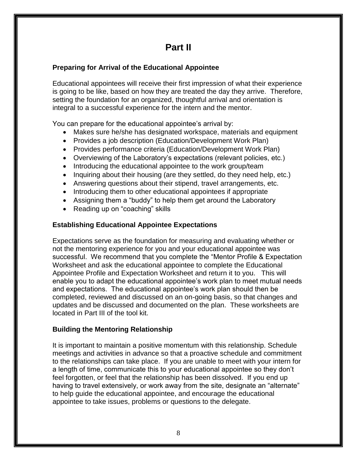## **Part II**

## **Preparing for Arrival of the Educational Appointee**

Educational appointees will receive their first impression of what their experience is going to be like, based on how they are treated the day they arrive. Therefore, setting the foundation for an organized, thoughtful arrival and orientation is integral to a successful experience for the intern and the mentor.

You can prepare for the educational appointee's arrival by:

- Makes sure he/she has designated workspace, materials and equipment
- Provides a job description (Education/Development Work Plan)
- Provides performance criteria (Education/Development Work Plan)
- Overviewing of the Laboratory's expectations (relevant policies, etc.)
- Introducing the educational appointee to the work group/team
- Inquiring about their housing (are they settled, do they need help, etc.)
- Answering questions about their stipend, travel arrangements, etc.
- Introducing them to other educational appointees if appropriate
- Assigning them a "buddy" to help them get around the Laboratory
- Reading up on "coaching" skills

## **Establishing Educational Appointee Expectations**

Expectations serve as the foundation for measuring and evaluating whether or not the mentoring experience for you and your educational appointee was successful. We recommend that you complete the "Mentor Profile & Expectation Worksheet and ask the educational appointee to complete the Educational Appointee Profile and Expectation Worksheet and return it to you. This will enable you to adapt the educational appointee's work plan to meet mutual needs and expectations. The educational appointee's work plan should then be completed, reviewed and discussed on an on-going basis, so that changes and updates and be discussed and documented on the plan. These worksheets are located in Part III of the tool kit.

## **Building the Mentoring Relationship**

It is important to maintain a positive momentum with this relationship. Schedule meetings and activities in advance so that a proactive schedule and commitment to the relationships can take place. If you are unable to meet with your intern for a length of time, communicate this to your educational appointee so they don't feel forgotten, or feel that the relationship has been dissolved. If you end up having to travel extensively, or work away from the site, designate an "alternate" to help guide the educational appointee, and encourage the educational appointee to take issues, problems or questions to the delegate.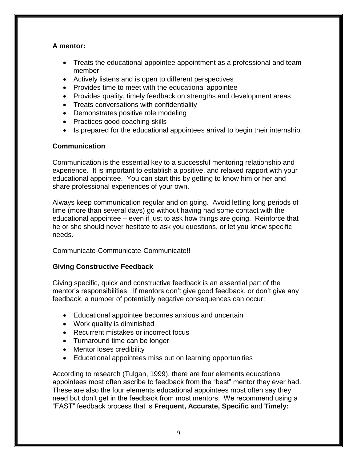#### **A mentor:**

- Treats the educational appointee appointment as a professional and team member
- Actively listens and is open to different perspectives
- Provides time to meet with the educational appointee
- Provides quality, timely feedback on strengths and development areas
- Treats conversations with confidentiality
- Demonstrates positive role modeling
- Practices good coaching skills
- Is prepared for the educational appointees arrival to begin their internship.

#### **Communication**

Communication is the essential key to a successful mentoring relationship and experience. It is important to establish a positive, and relaxed rapport with your educational appointee. You can start this by getting to know him or her and share professional experiences of your own.

Always keep communication regular and on going. Avoid letting long periods of time (more than several days) go without having had some contact with the educational appointee – even if just to ask how things are going. Reinforce that he or she should never hesitate to ask you questions, or let you know specific needs.

#### Communicate-Communicate-Communicate!!

#### **Giving Constructive Feedback**

Giving specific, quick and constructive feedback is an essential part of the mentor's responsibilities. If mentors don't give good feedback, or don't give any feedback, a number of potentially negative consequences can occur:

- Educational appointee becomes anxious and uncertain
- Work quality is diminished
- Recurrent mistakes or incorrect focus
- Turnaround time can be longer
- Mentor loses credibility
- Educational appointees miss out on learning opportunities

According to research (Tulgan, 1999), there are four elements educational appointees most often ascribe to feedback from the "best" mentor they ever had. These are also the four elements educational appointees most often say they need but don't get in the feedback from most mentors. We recommend using a "FAST" feedback process that is **Frequent, Accurate, Specific** and **Timely:**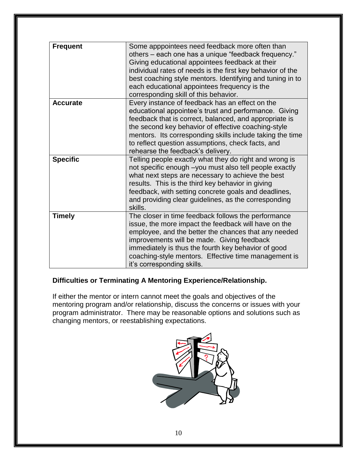| <b>Frequent</b> | Some apppointees need feedback more often than<br>others – each one has a unique "feedback frequency."<br>Giving educational appointees feedback at their<br>individual rates of needs is the first key behavior of the<br>best coaching style mentors. Identifying and tuning in to<br>each educational appointees frequency is the<br>corresponding skill of this behavior.    |
|-----------------|----------------------------------------------------------------------------------------------------------------------------------------------------------------------------------------------------------------------------------------------------------------------------------------------------------------------------------------------------------------------------------|
| <b>Accurate</b> | Every instance of feedback has an effect on the<br>educational appointee's trust and performance. Giving<br>feedback that is correct, balanced, and appropriate is<br>the second key behavior of effective coaching-style<br>mentors. Its corresponding skills include taking the time<br>to reflect question assumptions, check facts, and<br>rehearse the feedback's delivery. |
| <b>Specific</b> | Telling people exactly what they do right and wrong is<br>not specific enough -you must also tell people exactly<br>what next steps are necessary to achieve the best<br>results. This is the third key behavior in giving<br>feedback, with setting concrete goals and deadlines,<br>and providing clear guidelines, as the corresponding<br>skills.                            |
| <b>Timely</b>   | The closer in time feedback follows the performance<br>issue, the more impact the feedback will have on the<br>employee, and the better the chances that any needed<br>improvements will be made. Giving feedback<br>immediately is thus the fourth key behavior of good<br>coaching-style mentors. Effective time management is<br>it's corresponding skills.                   |

## **Difficulties or Terminating A Mentoring Experience/Relationship.**

If either the mentor or intern cannot meet the goals and objectives of the mentoring program and/or relationship, discuss the concerns or issues with your program administrator. There may be reasonable options and solutions such as changing mentors, or reestablishing expectations.

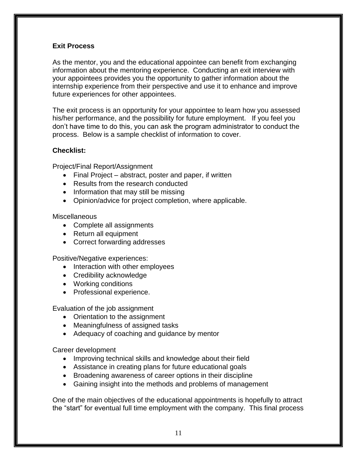#### **Exit Process**

As the mentor, you and the educational appointee can benefit from exchanging information about the mentoring experience. Conducting an exit interview with your appointees provides you the opportunity to gather information about the internship experience from their perspective and use it to enhance and improve future experiences for other appointees.

The exit process is an opportunity for your appointee to learn how you assessed his/her performance, and the possibility for future employment. If you feel you don't have time to do this, you can ask the program administrator to conduct the process. Below is a sample checklist of information to cover.

#### **Checklist:**

Project/Final Report/Assignment

- Final Project abstract, poster and paper, if written
- Results from the research conducted
- Information that may still be missing
- Opinion/advice for project completion, where applicable.

#### **Miscellaneous**

- Complete all assignments
- Return all equipment
- Correct forwarding addresses

Positive/Negative experiences:

- Interaction with other employees
- Credibility acknowledge
- Working conditions
- Professional experience.

Evaluation of the job assignment

- Orientation to the assignment
- Meaningfulness of assigned tasks
- Adequacy of coaching and guidance by mentor

Career development

- Improving technical skills and knowledge about their field
- Assistance in creating plans for future educational goals
- Broadening awareness of career options in their discipline
- Gaining insight into the methods and problems of management

One of the main objectives of the educational appointments is hopefully to attract the "start" for eventual full time employment with the company. This final process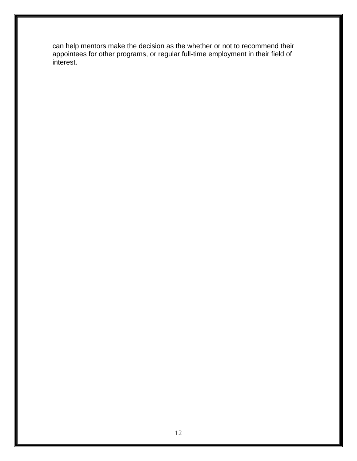can help mentors make the decision as the whether or not to recommend their appointees for other programs, or regular full-time employment in their field of interest.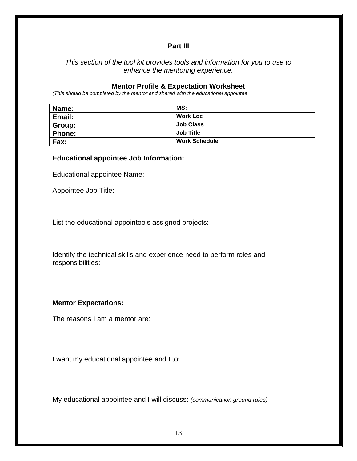#### **Part III**

#### *This section of the tool kit provides tools and information for you to use to enhance the mentoring experience.*

#### **Mentor Profile & Expectation Worksheet**

*(This should be completed by the mentor and shared with the educational appointee*

| Name:         | MS:                  |  |
|---------------|----------------------|--|
| Email:        | <b>Work Loc</b>      |  |
| Group:        | <b>Job Class</b>     |  |
| <b>Phone:</b> | <b>Job Title</b>     |  |
| Fax:          | <b>Work Schedule</b> |  |

#### **Educational appointee Job Information:**

Educational appointee Name:

Appointee Job Title:

List the educational appointee's assigned projects:

Identify the technical skills and experience need to perform roles and responsibilities:

#### **Mentor Expectations:**

The reasons I am a mentor are:

I want my educational appointee and I to:

My educational appointee and I will discuss: *(communication ground rules):*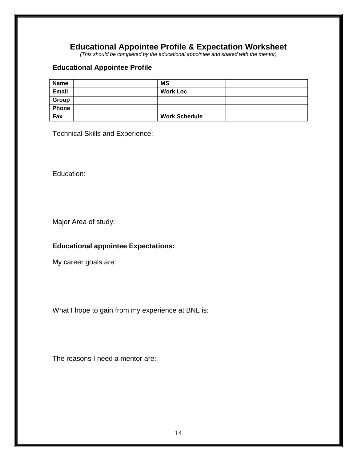## **Educational Appointee Profile & Expectation Worksheet**

*(This should be completed by the educational appointee and shared with the mentor)*

#### **Educational Appointee Profile**

| <b>Name</b>  | <b>MS</b>            |  |
|--------------|----------------------|--|
| <b>Email</b> | <b>Work Loc</b>      |  |
| Group        |                      |  |
| <b>Phone</b> |                      |  |
| Fax          | <b>Work Schedule</b> |  |

Technical Skills and Experience:

Education:

Major Area of study:

## **Educational appointee Expectations:**

My career goals are:

What I hope to gain from my experience at BNL is:

The reasons I need a mentor are: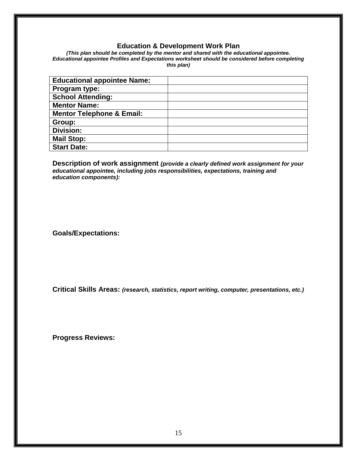#### **Education & Development Work Plan**

*(This plan should be completed by the mentor and shared with the educational appointee. Educational appointee Profiles and Expectations worksheet should be considered before completing this plan)*

| <b>Educational appointee Name:</b>   |  |
|--------------------------------------|--|
| Program type:                        |  |
| <b>School Attending:</b>             |  |
| <b>Mentor Name:</b>                  |  |
| <b>Mentor Telephone &amp; Email:</b> |  |
| Group:                               |  |
| <b>Division:</b>                     |  |
| <b>Mail Stop:</b>                    |  |
| <b>Start Date:</b>                   |  |

**Description of work assignment** *(provide a clearly defined work assignment for your educational appointee, including jobs responsibilities, expectations, training and education components):*

**Goals/Expectations:** 

**Critical Skills Areas:** *(research, statistics, report writing, computer, presentations, etc.)* 

**Progress Reviews:**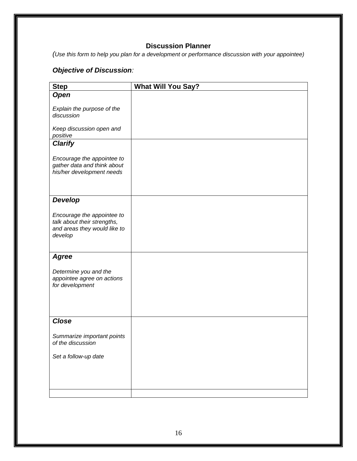## **Discussion Planner**

*(Use this form to help you plan for a development or performance discussion with your appointee)*

## *Objective of Discussion:*

| <b>Step</b>                                                                                          | <b>What Will You Say?</b> |
|------------------------------------------------------------------------------------------------------|---------------------------|
| <b>Open</b>                                                                                          |                           |
| Explain the purpose of the<br>discussion                                                             |                           |
| Keep discussion open and<br>positive                                                                 |                           |
| <b>Clarify</b>                                                                                       |                           |
| Encourage the appointee to<br>gather data and think about<br>his/her development needs               |                           |
| <b>Develop</b>                                                                                       |                           |
| Encourage the appointee to<br>talk about their strengths,<br>and areas they would like to<br>develop |                           |
| <b>Agree</b>                                                                                         |                           |
| Determine you and the<br>appointee agree on actions<br>for development                               |                           |
| <b>Close</b>                                                                                         |                           |
| Summarize important points<br>of the discussion<br>Set a follow-up date                              |                           |
|                                                                                                      |                           |
|                                                                                                      |                           |